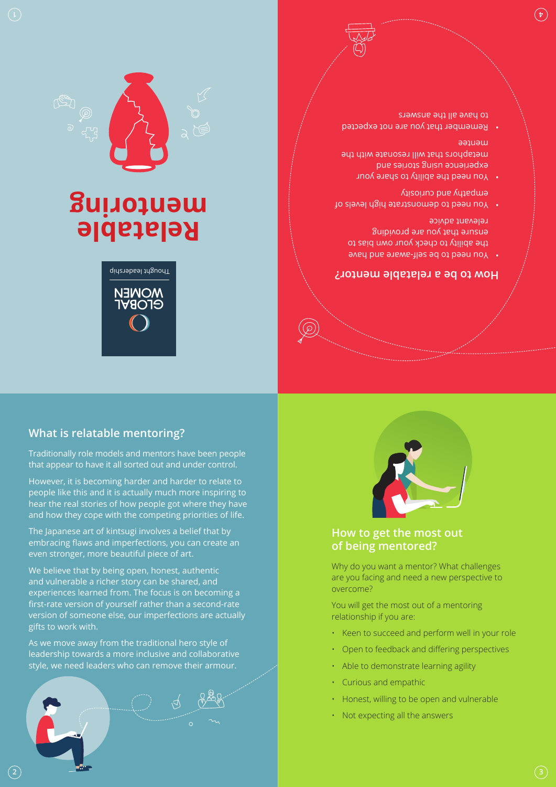# **How to get the most out**

**of being mentored?**

You will get the most out of a mentoring

• Able to demonstrate learning agility

• Honest, willing to be open and vulnerable

relationship if you are:

• Curious and empathic

• Not expecting all the answers

Why do you want a mentor? What challenges are you facing and need a new perspective to overcome?

• Keen to succeed and perform well in your role • Open to feedback and differing perspectives









**How to be a relatable mentor?**

You need to be self-aware and have the ability to check your own bias to ensure that you are providing

 $\bullet$  You need to demonstrate high levels of

metaphors that will resonate with the

Remember that you are not expected •

You need the ability to share your • experience using stories and

relevant advice

mentee

empathy and curiosity

to have all the answers

## **What is relatable mentoring?**

Traditionally role models and mentors have been people that appear to have it all sorted out and under control.

However, it is becoming harder and harder to relate to people like this and it is actually much more inspiring to hear the real stories of how people got where they have and how they cope with the competing priorities of life.

The Japanese art of kintsugi involves a belief that by embracing flaws and imperfections, you can create an even stronger, more beautiful piece of art.

We believe that by being open, honest, authentic and vulnerable a richer story can be shared, and experiences learned from. The focus is on becoming a first-rate version of yourself rather than a second-rate version of someone else, our imperfections are actually gifts to work with.

As we move away from the traditional hero style of leadership towards a more inclusive and collaborative style, we need leaders who can remove their armour.



**2**



**Relatable** 

Thought leadership

MONEN<br>Grobyt